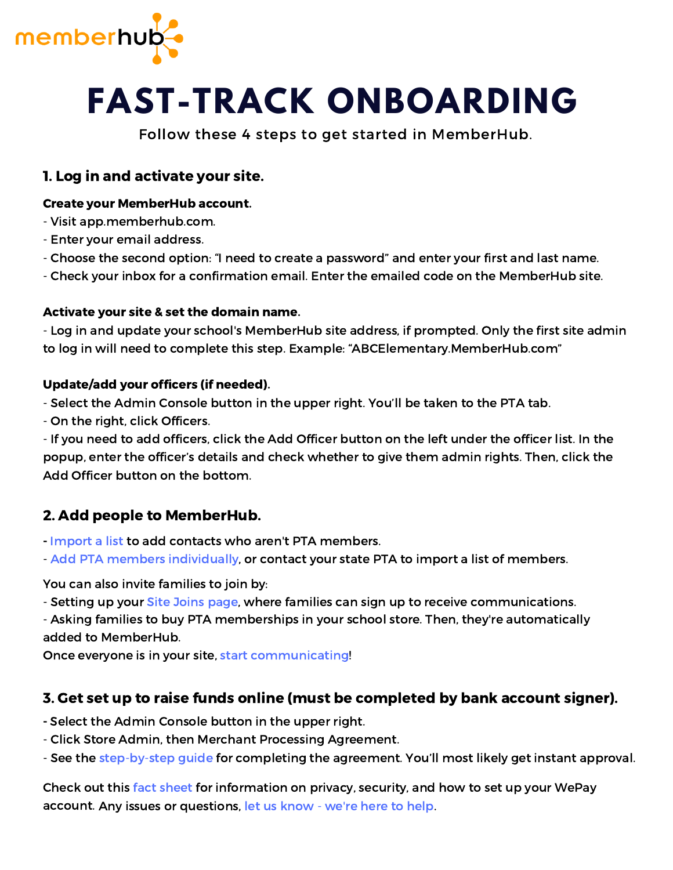

# **FAST-TRACK ONBOARDING**

Follow these 4 steps to get started in MemberHub.

## 1. Log in and activate your site.

#### Create your MemberHub account.

- Visit app.memberhub.com.
- Enter your email address.
- Choose the second option: "I need to create a password" and enter your first and last name.
- Check your inbox for a confirmation email. Enter the emailed code on the MemberHub site.

#### Activate your site & set the domain name.

- Log in and update your school's MemberHub site address, if prompted. Only the first site admin to log in will need to complete this step. Example: "ABCElementary.MemberHub.com"

#### Update/add your officers (if needed).

- Select the Admin Console button in the upper right. You'll be taken to the PTA tab.

- On the right, click Officers.

- If you need to add officers, click the Add Officer button on the left under the officer list. In the popup, enter the officer's details and check whether to give them admin rights. Then, click the Add Officer button on the bottom.

# 2. Add people to [MemberHub.](https://info.memberhub.com/easy-email-sponsorship-program)

- Import a list to add contacts who aren't PTA [members.](https://support.memberhub.com/hc/en-us/articles/203194279-People-Tab-Import-Contact-Information)
- Add PTA members [individually,](https://support.memberhub.com/hc/en-us/articles/115001448274-Enter-PTA-Members-Cash-Check-) or contact your state PTA to import a list of members.

#### You can also invite families to join by:

- Setting up your Site Joins page, where families can sign up to receive [communications.](https://support.memberhub.com/hc/en-us/articles/217384086-Site-Joins-Use-your-Joins-Page-)
- Asking families to buy PTA memberships in your school store. Then, they're automatically added to MemberHub.

Once everyone is in your site, start [communicating!](https://support.memberhub.com/hc/en-us/articles/360010115774-How-to-start-sending-weekly-newsletters-to-all-your-school-families)

## 3. Get set up to raise funds online (must be completed by bank account signer).

- Select the Admin Console button in the upper right.

- Click Store Admin, then Merchant Processing Agreement.
- See the [step-by-step](https://support.memberhub.com/hc/en-us/articles/360005261593-Merchant-Processing-Agreement-KYC-Compliance-Process-) guide for completing the agreement. You'll most likely get instant approval.

account. Any issues or [questions,](https://support.memberhub.com/hc/en-us/requests/new) let us know - we're here to help. Check out this fact sheet for [information](https://support.memberhub.com/hc/en-us/articles/360007076194-Fact-sheet-Taking-payments-online-through-MemberHub) on privacy, security, and how to set up your WePay